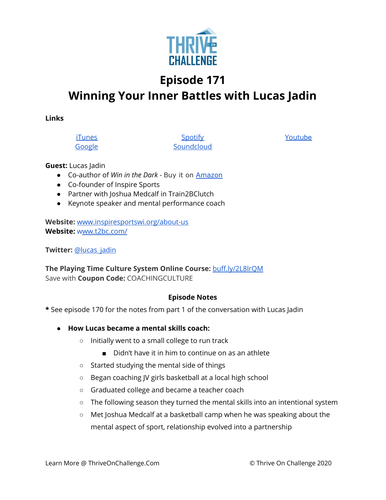

# **Episode 171**

# **Winning Your Inner Battles with Lucas Jadin**

**Links**

**[iTunes](https://podcasts.apple.com/us/podcast/coaching-culture/id1286560192)** [Google](https://podcasts.google.com/feed/aHR0cHM6Ly9mZWVkcy5zb3VuZGNsb3VkLmNvbS91c2Vycy9zb3VuZGNsb3VkOnVzZXJzOjQxMDQyNzcvc291bmRzLnJzcw?ved=2ahUKEwiSpYquy9vqAhVbQUEAHSAkC88Q4aUDegQIARAC)

**[Spotify](https://open.spotify.com/show/336Hs8udk8s0yXuK3BzSOq) [Soundcloud](https://soundcloud.com/thriveonchallenge)**  [Youtu](https://www.youtube.com/channel/UC3vIljCBzwHcPyVIx9kiHvw)[be](https://www.youtube.com/channel/UC3vIljCBzwHcPyVIx9kiHvw)

## **Guest:** Lucas Jadin

- Co-author of *Win in the Dark* Buy it on [Amazon](https://www.amazon.com/Win-Dark-bright-lights-reveal/dp/1735123501)
- Co-founder of Inspire Sports
- Partner with Joshua Medcalf in Train2BClutch
- Keynote speaker and mental performance coach

**Website:** [www.inspiresportswi.org/about-us](https://gate.sc/?url=https%3A%2F%2Fwww.inspiresportswi.org%2Fabout-us&token=cf6d91-1-1607437698202) **Website:** [www.t2bc.com/](https://gate.sc/?url=https%3A%2F%2Fwww.t2bc.com%2F&token=79da5c-1-1607437698203)

**Twitter:** [@lucas\\_jadin](https://twitter.com/lucas_jadin)

**The Playing Time Culture System Online Course:** [buff.ly/2L8lrQM](https://gate.sc/?url=http%3A%2F%2Fbuff.ly%2F2L8lrQM&token=32ca9-1-1607437698203) Save with **Coupon Code:** COACHINGCULTURE

#### **Episode Notes**

**\*** See episode 170 for the notes from part 1 of the conversation with Lucas Jadin

- **● How Lucas became a mental skills coach:**
	- Initially went to a small college to run track
		- Didn't have it in him to continue on as an athlete
	- Started studying the mental side of things
	- Began coaching JV girls basketball at a local high school
	- Graduated college and became a teacher coach
	- The following season they turned the mental skills into an intentional system
	- Met Joshua Medcalf at a basketball camp when he was speaking about the mental aspect of sport, relationship evolved into a partnership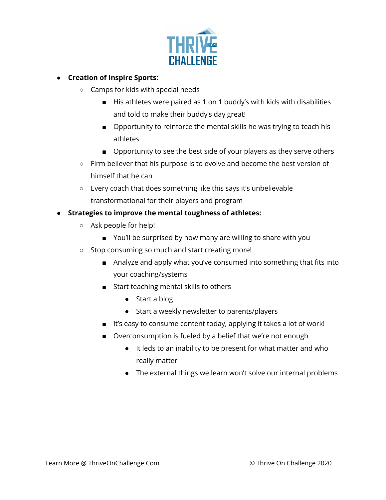

# **● Creation of Inspire Sports:**

- Camps for kids with special needs
	- His athletes were paired as 1 on 1 buddy's with kids with disabilities and told to make their buddy's day great!
	- Opportunity to reinforce the mental skills he was trying to teach his athletes
	- Opportunity to see the best side of your players as they serve others
- Firm believer that his purpose is to evolve and become the best version of himself that he can
- Every coach that does something like this says it's unbelievable transformational for their players and program

## **● Strategies to improve the mental toughness of athletes:**

- Ask people for help!
	- You'll be surprised by how many are willing to share with you
- Stop consuming so much and start creating more!
	- Analyze and apply what you've consumed into something that fits into your coaching/systems
	- Start teaching mental skills to others
		- Start a blog
		- Start a weekly newsletter to parents/players
	- It's easy to consume content today, applying it takes a lot of work!
	- Overconsumption is fueled by a belief that we're not enough
		- It leds to an inability to be present for what matter and who really matter
		- The external things we learn won't solve our internal problems